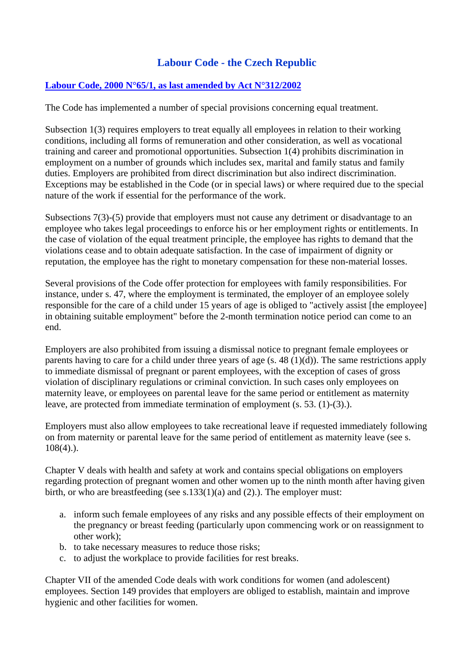## **Labour Code - the Czech Republic**

## **Labour Code, 2000 N°65/1, as last amended by Act N°312/2002**

The Code has implemented a number of special provisions concerning equal treatment.

Subsection 1(3) requires employers to treat equally all employees in relation to their working conditions, including all forms of remuneration and other consideration, as well as vocational training and career and promotional opportunities. Subsection 1(4) prohibits discrimination in employment on a number of grounds which includes sex, marital and family status and family duties. Employers are prohibited from direct discrimination but also indirect discrimination. Exceptions may be established in the Code (or in special laws) or where required due to the special nature of the work if essential for the performance of the work.

Subsections 7(3)-(5) provide that employers must not cause any detriment or disadvantage to an employee who takes legal proceedings to enforce his or her employment rights or entitlements. In the case of violation of the equal treatment principle, the employee has rights to demand that the violations cease and to obtain adequate satisfaction. In the case of impairment of dignity or reputation, the employee has the right to monetary compensation for these non-material losses.

Several provisions of the Code offer protection for employees with family responsibilities. For instance, under s. 47, where the employment is terminated, the employer of an employee solely responsible for the care of a child under 15 years of age is obliged to "actively assist [the employee] in obtaining suitable employment" before the 2-month termination notice period can come to an end.

Employers are also prohibited from issuing a dismissal notice to pregnant female employees or parents having to care for a child under three years of age (s. 48 (1)(d)). The same restrictions apply to immediate dismissal of pregnant or parent employees, with the exception of cases of gross violation of disciplinary regulations or criminal conviction. In such cases only employees on maternity leave, or employees on parental leave for the same period or entitlement as maternity leave, are protected from immediate termination of employment (s. 53. (1)-(3).).

Employers must also allow employees to take recreational leave if requested immediately following on from maternity or parental leave for the same period of entitlement as maternity leave (see s.  $108(4)$ .).

Chapter V deals with health and safety at work and contains special obligations on employers regarding protection of pregnant women and other women up to the ninth month after having given birth, or who are breastfeeding (see s.133(1)(a) and (2).). The employer must:

- a. inform such female employees of any risks and any possible effects of their employment on the pregnancy or breast feeding (particularly upon commencing work or on reassignment to other work);
- b. to take necessary measures to reduce those risks;
- c. to adjust the workplace to provide facilities for rest breaks.

Chapter VII of the amended Code deals with work conditions for women (and adolescent) employees. Section 149 provides that employers are obliged to establish, maintain and improve hygienic and other facilities for women.